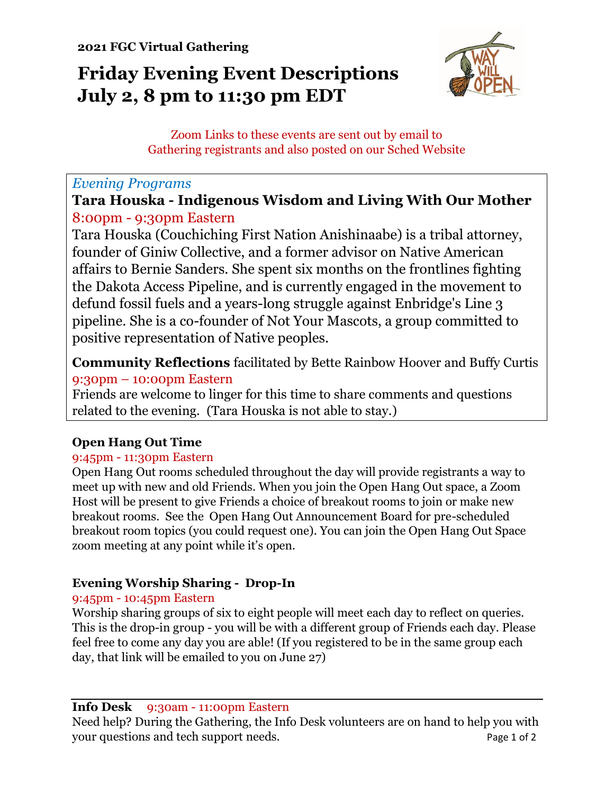# **Friday Evening Event Descriptions July 2, 8 pm to 11:30 pm EDT**



Zoom Links to these events are sent out by email to Gathering registrants and also posted on our Sched Website

# *Evening Programs*

**Tara Houska - Indigenous Wisdom and Living With Our Mother** 8:00pm - 9:30pm Eastern

Tara Houska (Couchiching First Nation Anishinaabe) is a tribal attorney, founder of Giniw Collective, and a former advisor on Native American affairs to Bernie Sanders. She spent six months on the frontlines fighting the Dakota Access Pipeline, and is currently engaged in the movement to defund fossil fuels and a years-long struggle against Enbridge's Line 3 pipeline. She is a co-founder of Not Your Mascots, a group committed to positive representation of Native peoples.

**Community Reflections** facilitated by Bette Rainbow Hoover and Buffy Curtis 9:30pm – 10:00pm Eastern

Friends are welcome to linger for this time to share comments and questions related to the evening. (Tara Houska is not able to stay.)

# **Open Hang Out Time**

# 9:45pm - 11:30pm Eastern

Open Hang Out rooms scheduled throughout the day will provide registrants a way to meet up with new and old Friends. When you join the Open Hang Out space, a Zoom Host will be present to give Friends a choice of breakout rooms to join or make new breakout rooms. See the Open Hang Out Announcement Board for pre-scheduled breakout room topics (you could request one). You can join the Open Hang Out Space zoom meeting at any point while it's open.

# **Evening Worship Sharing - Drop-In**

# 9:45pm - 10:45pm Eastern

Worship sharing groups of six to eight people will meet each day to reflect on queries. This is the drop-in group - you will be with a different group of Friends each day. Please feel free to come any day you are able! (If you registered to be in the same group each day, that link will be emailed to you on June 27)

#### **Info Desk** 9:30am - 11:00pm Eastern

Need help? During the Gathering, the Info Desk volunteers are on hand to help you with your questions and tech support needs. Page 1 of 2